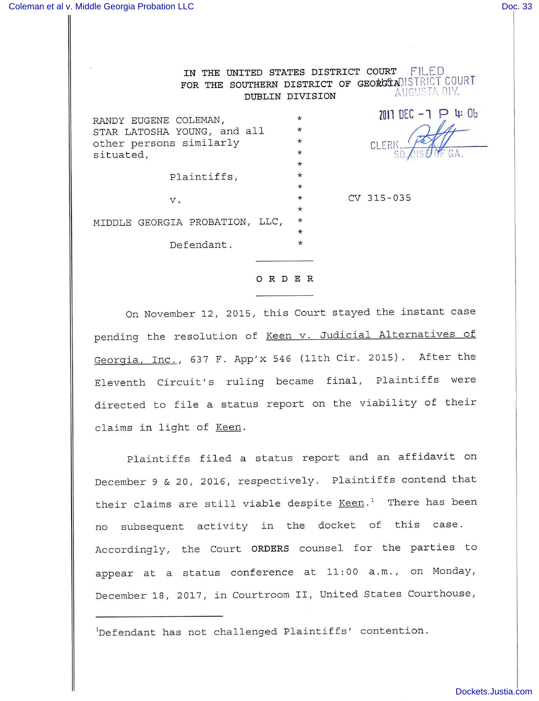IN THE UNITED STATES DISTRICT COURT FILED FOR THE SOUTHERN DISTRICT OF GEORGIADISTRICT COURT AUGUSTA DIV. DUBLIN DIVISION

| RANDY EUGENE COLEMAN,<br>STAR LATOSHA YOUNG, and all<br>other persons similarly<br>situated, | $\star$<br>$\star$<br>$\star$<br>$\star$ | $2011$ DEC $-7$ $\triangleright$ 4: 0b<br>CLERI<br>SO AISOC GA. |
|----------------------------------------------------------------------------------------------|------------------------------------------|-----------------------------------------------------------------|
|                                                                                              | $\star$                                  |                                                                 |
| Plaintiffs,                                                                                  | $\star$                                  |                                                                 |
|                                                                                              | $\star$                                  |                                                                 |
| v.                                                                                           | $\star$                                  | $CV$ 315-035                                                    |
|                                                                                              | $\star$                                  |                                                                 |
| MIDDLE GEORGIA PROBATION, LLC,                                                               | $\star$                                  |                                                                 |
|                                                                                              | $\star$                                  |                                                                 |
| Defendant.                                                                                   | $\star$                                  |                                                                 |

## ORDER

On November 12, 2015, this Court stayed the instant case pending the resolution of Keen v. Judicial Alternatives of Georgia, Inc., 637 F. App'x 546 (11th Cir. 2015). After the Eleventh Circuit's ruling became final. Plaintiffs were directed to file a status report on the viability of their claims in light of Keen.

Plaintiffs filed a status report and an affidavit on December 9 & 20, 2016, respectively. Plaintiffs contend that their claims are still viable despite  $Keen.^1$  There has been no subsequent activity in the docket of this case. Accordingly, the Court ORDERS counsel for the parties to appear at a status conference at 11:00 a.m., on Monday, December 18, 2017, in Courtroom II, United States Courthouse,

^Defendant has not challenged Plaintiffs' contention.